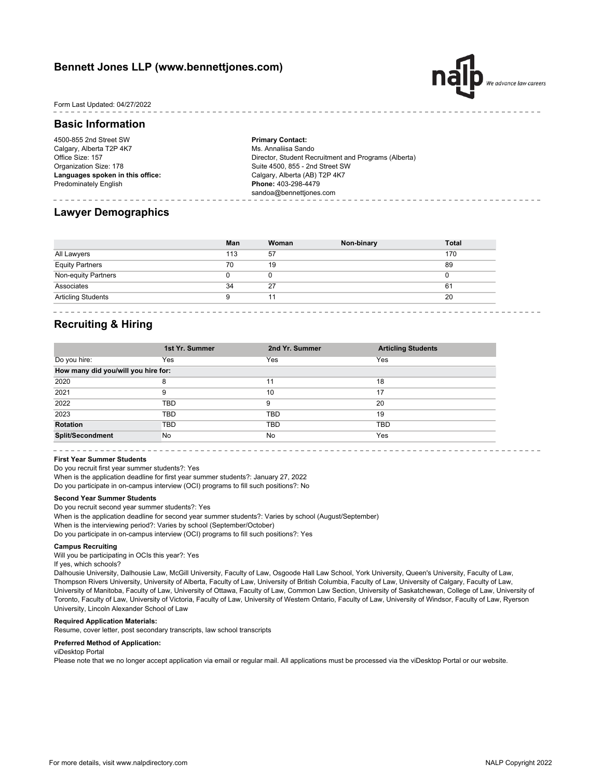## **Bennett Jones LLP (www.bennettjones.com)**



Form Last Updated: 04/27/2022

## **Basic Information**

4500-855 2nd Street SW Calgary, Alberta T2P 4K7 Office Size: 157 Organization Size: 178 **Languages spoken in this office:** Predominately English

**Primary Contact:** Ms. Annaliisa Sando Director, Student Recruitment and Programs (Alberta) Suite 4500, 855 - 2nd Street SW Calgary, Alberta (AB) T2P 4K7 **Phone:** 403-298-4479 sandoa@bennettjones.com

## **Lawyer Demographics**

|                           | Man | Woman | Non-binary | <b>Total</b> |
|---------------------------|-----|-------|------------|--------------|
| All Lawyers               | 113 | 57    |            | 170          |
| <b>Equity Partners</b>    | 70  | 19    |            | 89           |
| Non-equity Partners       |     |       |            | 0            |
| Associates                | 34  | 27    |            | 61           |
| <b>Articling Students</b> |     | 11    |            | 20           |

## **Recruiting & Hiring**

|                                     | 1st Yr. Summer | 2nd Yr. Summer | <b>Articling Students</b> |  |
|-------------------------------------|----------------|----------------|---------------------------|--|
| Do you hire:                        | Yes            | Yes            | Yes                       |  |
| How many did you/will you hire for: |                |                |                           |  |
| 2020                                | 8              | 11             | 18                        |  |
| 2021                                | 9              | 10             | 17                        |  |
| 2022                                | TBD            | 9              | 20                        |  |
| 2023                                | TBD            | TBD            | 19                        |  |
| <b>Rotation</b>                     | <b>TBD</b>     | TBD            | TBD                       |  |
| <b>Split/Secondment</b>             | No             | No             | Yes                       |  |

## **First Year Summer Students**

Do you recruit first year summer students?: Yes

When is the application deadline for first year summer students?: January 27, 2022

Do you participate in on-campus interview (OCI) programs to fill such positions?: No

### **Second Year Summer Students**

Do you recruit second year summer students?: Yes

When is the application deadline for second year summer students?: Varies by school (August/September) When is the interviewing period?: Varies by school (September/October) Do you participate in on-campus interview (OCI) programs to fill such positions?: Yes

#### **Campus Recruiting**

Will you be participating in OCIs this year?: Yes

If yes, which schools?

Dalhousie University, Dalhousie Law, McGill University, Faculty of Law, Osgoode Hall Law School, York University, Queen's University, Faculty of Law, Thompson Rivers University, University of Alberta, Faculty of Law, University of British Columbia, Faculty of Law, University of Calgary, Faculty of Law, University of Manitoba, Faculty of Law, University of Ottawa, Faculty of Law, Common Law Section, University of Saskatchewan, College of Law, University of Toronto, Faculty of Law, University of Victoria, Faculty of Law, University of Western Ontario, Faculty of Law, University of Windsor, Faculty of Law, Ryerson University, Lincoln Alexander School of Law

#### **Required Application Materials:**

Resume, cover letter, post secondary transcripts, law school transcripts

#### **Preferred Method of Application:**

#### viDesktop Portal

Please note that we no longer accept application via email or regular mail. All applications must be processed via the viDesktop Portal or our website.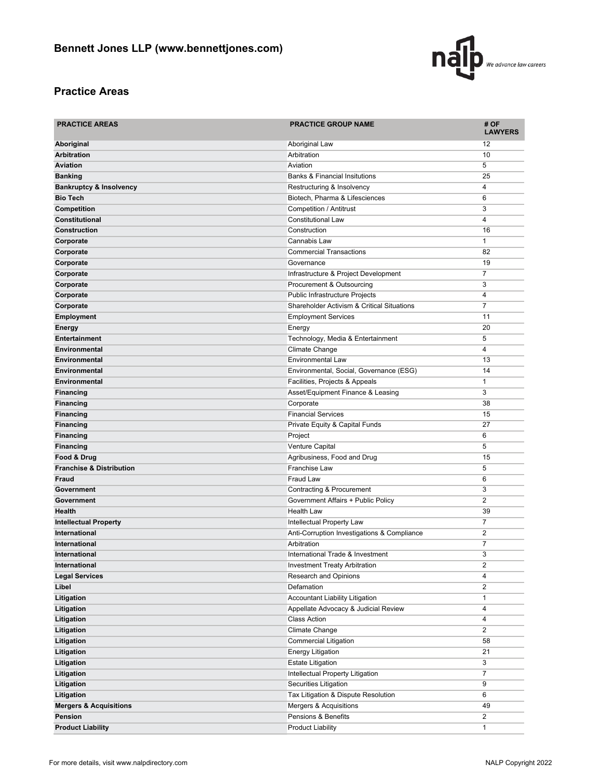

# **Practice Areas**

| <b>PRACTICE AREAS</b>               | <b>PRACTICE GROUP NAME</b>                            | # OF<br><b>LAWYERS</b>  |
|-------------------------------------|-------------------------------------------------------|-------------------------|
| Aboriginal                          | Aboriginal Law                                        | 12                      |
| <b>Arbitration</b>                  | Arbitration                                           | 10                      |
| <b>Aviation</b>                     | Aviation                                              | 5                       |
| <b>Banking</b>                      | <b>Banks &amp; Financial Insitutions</b>              | 25                      |
| <b>Bankruptcy &amp; Insolvency</b>  | Restructuring & Insolvency                            | 4                       |
| <b>Bio Tech</b>                     | Biotech, Pharma & Lifesciences                        | 6                       |
| Competition                         | Competition / Antitrust                               | 3                       |
| Constitutional                      | <b>Constitutional Law</b>                             | 4                       |
| <b>Construction</b>                 | Construction                                          | 16                      |
| Corporate                           | Cannabis Law                                          | 1                       |
| Corporate                           | <b>Commercial Transactions</b>                        | 82                      |
| Corporate                           | Governance                                            | 19                      |
| Corporate                           | Infrastructure & Project Development                  | 7                       |
| Corporate                           | Procurement & Outsourcing                             | 3                       |
| Corporate                           | Public Infrastructure Projects                        | 4                       |
| Corporate                           | <b>Shareholder Activism &amp; Critical Situations</b> | 7                       |
| <b>Employment</b>                   | <b>Employment Services</b>                            | 11                      |
| <b>Energy</b>                       | Energy                                                | 20                      |
| <b>Entertainment</b>                | Technology, Media & Entertainment                     | 5                       |
| <b>Environmental</b>                | Climate Change                                        | 4                       |
| Environmental                       | Environmental Law                                     | 13                      |
| <b>Environmental</b>                | Environmental, Social, Governance (ESG)               | 14                      |
| Environmental                       | Facilities, Projects & Appeals                        | 1                       |
| <b>Financing</b>                    | Asset/Equipment Finance & Leasing                     | 3                       |
| <b>Financing</b>                    | Corporate                                             | 38                      |
| <b>Financing</b>                    | <b>Financial Services</b>                             | 15                      |
| <b>Financing</b>                    | Private Equity & Capital Funds                        | 27                      |
| Financing                           | Project                                               | 6                       |
| <b>Financing</b>                    | Venture Capital                                       | 5                       |
| Food & Drug                         | Agribusiness, Food and Drug                           | 15                      |
| <b>Franchise &amp; Distribution</b> | <b>Franchise Law</b>                                  | 5                       |
| Fraud                               | <b>Fraud Law</b>                                      | 6                       |
| Government                          | Contracting & Procurement                             | 3                       |
| Government                          | Government Affairs + Public Policy                    | $\overline{\mathbf{c}}$ |
| <b>Health</b>                       | <b>Health Law</b>                                     | 39                      |
| <b>Intellectual Property</b>        | Intellectual Property Law                             | 7                       |
| <b>International</b>                | Anti-Corruption Investigations & Compliance           | $\overline{\mathbf{c}}$ |
| <b>International</b>                | Arbitration                                           | 7                       |
| International                       | International Trade & Investment                      | 3                       |
| International                       | <b>Investment Treaty Arbitration</b>                  | 2                       |
| <b>Legal Services</b>               | Research and Opinions                                 | 4                       |
| Libel                               | Defamation                                            | 2                       |
| Litigation                          | Accountant Liability Litigation                       | 1                       |
| Litigation                          | Appellate Advocacy & Judicial Review                  | 4                       |
| Litigation                          | <b>Class Action</b>                                   | 4                       |
| Litigation                          | Climate Change                                        | $\overline{2}$          |
| Litigation                          | <b>Commercial Litigation</b>                          | 58                      |
| Litigation                          | <b>Energy Litigation</b>                              | 21                      |
| Litigation                          | <b>Estate Litigation</b>                              | 3                       |
| Litigation                          | Intellectual Property Litigation                      | 7                       |
| Litigation                          | <b>Securities Litigation</b>                          | 9                       |
| Litigation                          | Tax Litigation & Dispute Resolution                   | 6                       |
| <b>Mergers &amp; Acquisitions</b>   | Mergers & Acquisitions                                | 49                      |
| Pension                             | Pensions & Benefits                                   | 2                       |
| <b>Product Liability</b>            | <b>Product Liability</b>                              | 1                       |